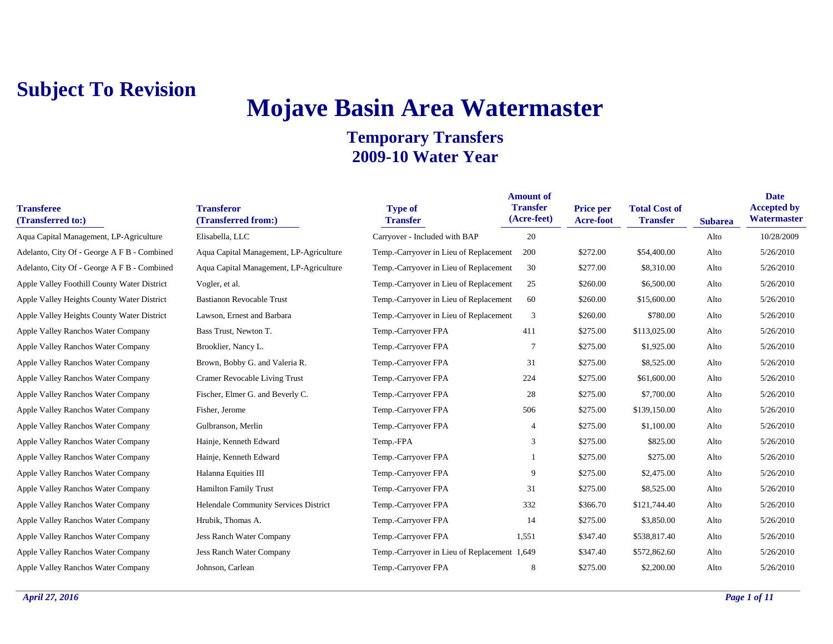# **Mojave Basin Area Watermaster**

| <b>Transferee</b><br>(Transferred to:)      | <b>Transferor</b><br>(Transferred from:) | <b>Type of</b><br><b>Transfer</b>            | <b>Amount of</b><br><b>Transfer</b><br>(Acre-feet) | <b>Price per</b><br>Acre-foot | <b>Total Cost of</b><br><b>Transfer</b> | <b>Subarea</b> | <b>Date</b><br><b>Accepted by</b><br>Watermaster |
|---------------------------------------------|------------------------------------------|----------------------------------------------|----------------------------------------------------|-------------------------------|-----------------------------------------|----------------|--------------------------------------------------|
| Aqua Capital Management, LP-Agriculture     | Elisabella, LLC                          | Carryover - Included with BAP                | 20                                                 |                               |                                         | Alto           | 10/28/2009                                       |
| Adelanto, City Of - George A F B - Combined | Aqua Capital Management, LP-Agriculture  | Temp.-Carryover in Lieu of Replacement       | 200                                                | \$272.00                      | \$54,400.00                             | Alto           | 5/26/2010                                        |
| Adelanto, City Of - George A F B - Combined | Aqua Capital Management, LP-Agriculture  | Temp.-Carryover in Lieu of Replacement       | 30                                                 | \$277.00                      | \$8,310.00                              | Alto           | 5/26/2010                                        |
| Apple Valley Foothill County Water District | Vogler, et al.                           | Temp.-Carryover in Lieu of Replacement       | 25                                                 | \$260.00                      | \$6,500.00                              | Alto           | 5/26/2010                                        |
| Apple Valley Heights County Water District  | <b>Bastianon Revocable Trust</b>         | Temp.-Carryover in Lieu of Replacement       | 60                                                 | \$260.00                      | \$15,600.00                             | Alto           | 5/26/2010                                        |
| Apple Valley Heights County Water District  | Lawson, Ernest and Barbara               | Temp.-Carryover in Lieu of Replacement       | 3                                                  | \$260.00                      | \$780.00                                | Alto           | 5/26/2010                                        |
| Apple Valley Ranchos Water Company          | Bass Trust, Newton T.                    | Temp.-Carryover FPA                          | 411                                                | \$275.00                      | \$113,025.00                            | Alto           | 5/26/2010                                        |
| Apple Valley Ranchos Water Company          | Brooklier, Nancy L.                      | Temp.-Carryover FPA                          | $\overline{7}$                                     | \$275.00                      | \$1,925.00                              | Alto           | 5/26/2010                                        |
| Apple Valley Ranchos Water Company          | Brown, Bobby G. and Valeria R.           | Temp.-Carryover FPA                          | 31                                                 | \$275.00                      | \$8,525.00                              | Alto           | 5/26/2010                                        |
| Apple Valley Ranchos Water Company          | Cramer Revocable Living Trust            | Temp.-Carryover FPA                          | 224                                                | \$275.00                      | \$61,600.00                             | Alto           | 5/26/2010                                        |
| Apple Valley Ranchos Water Company          | Fischer, Elmer G. and Beverly C.         | Temp.-Carryover FPA                          | 28                                                 | \$275.00                      | \$7,700.00                              | Alto           | 5/26/2010                                        |
| Apple Valley Ranchos Water Company          | Fisher, Jerome                           | Temp.-Carryover FPA                          | 506                                                | \$275.00                      | \$139,150.00                            | Alto           | 5/26/2010                                        |
| Apple Valley Ranchos Water Company          | Gulbranson, Merlin                       | Temp.-Carryover FPA                          | 4                                                  | \$275.00                      | \$1,100.00                              | Alto           | 5/26/2010                                        |
| Apple Valley Ranchos Water Company          | Hainje, Kenneth Edward                   | Temp.-FPA                                    | 3                                                  | \$275.00                      | \$825.00                                | Alto           | 5/26/2010                                        |
| Apple Valley Ranchos Water Company          | Hainje, Kenneth Edward                   | Temp.-Carryover FPA                          |                                                    | \$275.00                      | \$275.00                                | Alto           | 5/26/2010                                        |
| Apple Valley Ranchos Water Company          | Halanna Equities III                     | Temp.-Carryover FPA                          | 9                                                  | \$275.00                      | \$2,475.00                              | Alto           | 5/26/2010                                        |
| Apple Valley Ranchos Water Company          | <b>Hamilton Family Trust</b>             | Temp.-Carryover FPA                          | 31                                                 | \$275.00                      | \$8,525.00                              | Alto           | 5/26/2010                                        |
| Apple Valley Ranchos Water Company          | Helendale Community Services District    | Temp.-Carryover FPA                          | 332                                                | \$366.70                      | \$121,744.40                            | Alto           | 5/26/2010                                        |
| Apple Valley Ranchos Water Company          | Hrubik, Thomas A.                        | Temp.-Carryover FPA                          | 14                                                 | \$275.00                      | \$3,850.00                              | Alto           | 5/26/2010                                        |
| Apple Valley Ranchos Water Company          | <b>Jess Ranch Water Company</b>          | Temp.-Carryover FPA                          | 1,551                                              | \$347.40                      | \$538,817.40                            | Alto           | 5/26/2010                                        |
| Apple Valley Ranchos Water Company          | <b>Jess Ranch Water Company</b>          | Temp.-Carryover in Lieu of Replacement 1,649 |                                                    | \$347.40                      | \$572,862.60                            | Alto           | 5/26/2010                                        |
| Apple Valley Ranchos Water Company          | Johnson, Carlean                         | Temp.-Carryover FPA                          | 8                                                  | \$275.00                      | \$2,200.00                              | Alto           | 5/26/2010                                        |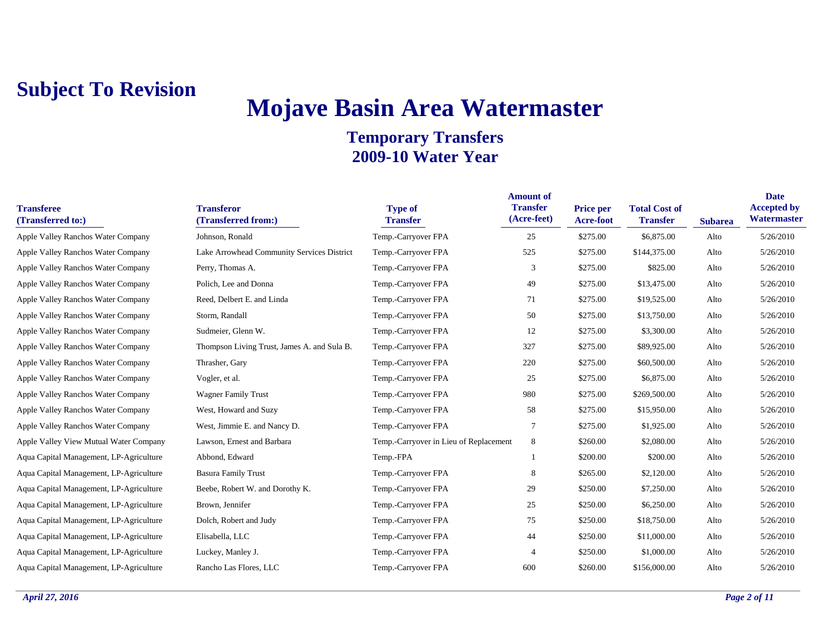# **Mojave Basin Area Watermaster**

| <b>Transferee</b><br>(Transferred to:)  | <b>Transferor</b><br>(Transferred from:)    | <b>Type of</b><br><b>Transfer</b>      | <b>Amount of</b><br><b>Transfer</b><br>(Acre-feet) | <b>Price per</b><br><b>Acre-foot</b> | <b>Total Cost of</b><br><b>Transfer</b> | <b>Subarea</b> | <b>Date</b><br><b>Accepted by</b><br><b>Watermaster</b> |
|-----------------------------------------|---------------------------------------------|----------------------------------------|----------------------------------------------------|--------------------------------------|-----------------------------------------|----------------|---------------------------------------------------------|
| Apple Valley Ranchos Water Company      | Johnson, Ronald                             | Temp.-Carryover FPA                    | 25                                                 | \$275.00                             | \$6,875.00                              | Alto           | 5/26/2010                                               |
| Apple Valley Ranchos Water Company      | Lake Arrowhead Community Services District  | Temp.-Carryover FPA                    | 525                                                | \$275.00                             | \$144,375.00                            | Alto           | 5/26/2010                                               |
| Apple Valley Ranchos Water Company      | Perry, Thomas A.                            | Temp.-Carryover FPA                    | 3                                                  | \$275.00                             | \$825.00                                | Alto           | 5/26/2010                                               |
| Apple Valley Ranchos Water Company      | Polich, Lee and Donna                       | Temp.-Carryover FPA                    | 49                                                 | \$275.00                             | \$13,475.00                             | Alto           | 5/26/2010                                               |
| Apple Valley Ranchos Water Company      | Reed, Delbert E. and Linda                  | Temp.-Carryover FPA                    | 71                                                 | \$275.00                             | \$19,525.00                             | Alto           | 5/26/2010                                               |
| Apple Valley Ranchos Water Company      | Storm, Randall                              | Temp.-Carryover FPA                    | 50                                                 | \$275.00                             | \$13,750.00                             | Alto           | 5/26/2010                                               |
| Apple Valley Ranchos Water Company      | Sudmeier, Glenn W.                          | Temp.-Carryover FPA                    | 12                                                 | \$275.00                             | \$3,300.00                              | Alto           | 5/26/2010                                               |
| Apple Valley Ranchos Water Company      | Thompson Living Trust, James A. and Sula B. | Temp.-Carryover FPA                    | 327                                                | \$275.00                             | \$89,925.00                             | Alto           | 5/26/2010                                               |
| Apple Valley Ranchos Water Company      | Thrasher, Gary                              | Temp.-Carryover FPA                    | 220                                                | \$275.00                             | \$60,500.00                             | Alto           | 5/26/2010                                               |
| Apple Valley Ranchos Water Company      | Vogler, et al.                              | Temp.-Carryover FPA                    | 25                                                 | \$275.00                             | \$6,875.00                              | Alto           | 5/26/2010                                               |
| Apple Valley Ranchos Water Company      | <b>Wagner Family Trust</b>                  | Temp.-Carryover FPA                    | 980                                                | \$275.00                             | \$269,500.00                            | Alto           | 5/26/2010                                               |
| Apple Valley Ranchos Water Company      | West, Howard and Suzy                       | Temp.-Carryover FPA                    | 58                                                 | \$275.00                             | \$15,950.00                             | Alto           | 5/26/2010                                               |
| Apple Valley Ranchos Water Company      | West, Jimmie E. and Nancy D.                | Temp.-Carryover FPA                    | 7                                                  | \$275.00                             | \$1,925.00                              | Alto           | 5/26/2010                                               |
| Apple Valley View Mutual Water Company  | Lawson, Ernest and Barbara                  | Temp.-Carryover in Lieu of Replacement | 8                                                  | \$260.00                             | \$2,080.00                              | Alto           | 5/26/2010                                               |
| Aqua Capital Management, LP-Agriculture | Abbond, Edward                              | Temp.-FPA                              |                                                    | \$200.00                             | \$200.00                                | Alto           | 5/26/2010                                               |
| Aqua Capital Management, LP-Agriculture | <b>Basura Family Trust</b>                  | Temp.-Carryover FPA                    | 8                                                  | \$265.00                             | \$2,120.00                              | Alto           | 5/26/2010                                               |
| Aqua Capital Management, LP-Agriculture | Beebe, Robert W. and Dorothy K.             | Temp.-Carryover FPA                    | 29                                                 | \$250.00                             | \$7,250.00                              | Alto           | 5/26/2010                                               |
| Aqua Capital Management, LP-Agriculture | Brown, Jennifer                             | Temp.-Carryover FPA                    | 25                                                 | \$250.00                             | \$6,250.00                              | Alto           | 5/26/2010                                               |
| Aqua Capital Management, LP-Agriculture | Dolch, Robert and Judy                      | Temp.-Carryover FPA                    | 75                                                 | \$250.00                             | \$18,750.00                             | Alto           | 5/26/2010                                               |
| Aqua Capital Management, LP-Agriculture | Elisabella, LLC                             | Temp.-Carryover FPA                    | 44                                                 | \$250.00                             | \$11,000.00                             | Alto           | 5/26/2010                                               |
| Aqua Capital Management, LP-Agriculture | Luckey, Manley J.                           | Temp.-Carryover FPA                    | $\overline{4}$                                     | \$250.00                             | \$1,000.00                              | Alto           | 5/26/2010                                               |
| Aqua Capital Management, LP-Agriculture | Rancho Las Flores, LLC                      | Temp.-Carryover FPA                    | 600                                                | \$260.00                             | \$156,000.00                            | Alto           | 5/26/2010                                               |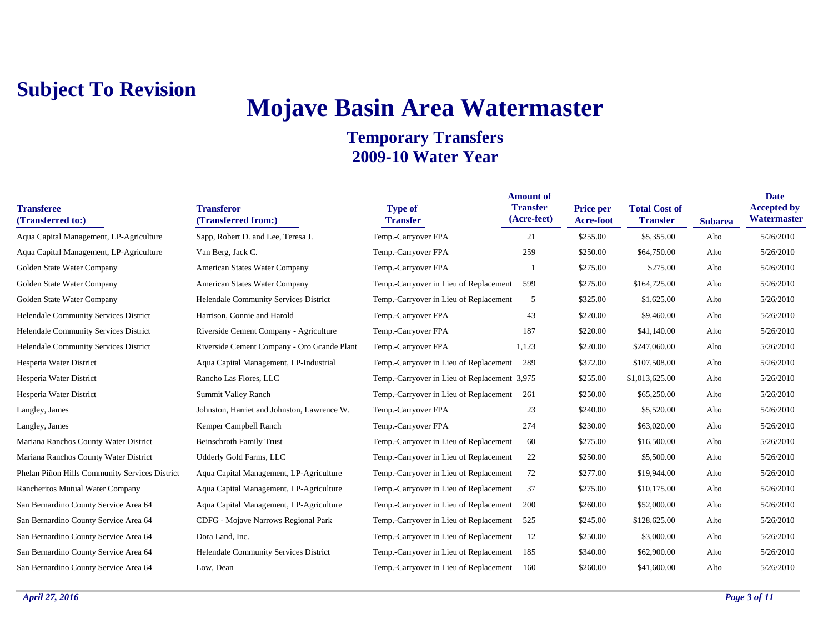# **Mojave Basin Area Watermaster**

| <b>Transferee</b><br>(Transferred to:)         | <b>Transferor</b><br>(Transferred from:)    | <b>Type of</b><br><b>Transfer</b>            | <b>Amount of</b><br><b>Transfer</b><br>(Acre-feet) | <b>Price per</b><br>Acre-foot | <b>Total Cost of</b><br><b>Transfer</b> | <b>Subarea</b> | <b>Date</b><br><b>Accepted by</b><br>Watermaster |
|------------------------------------------------|---------------------------------------------|----------------------------------------------|----------------------------------------------------|-------------------------------|-----------------------------------------|----------------|--------------------------------------------------|
| Aqua Capital Management, LP-Agriculture        | Sapp, Robert D. and Lee, Teresa J.          | Temp.-Carryover FPA                          | 21                                                 | \$255.00                      | \$5,355.00                              | Alto           | 5/26/2010                                        |
| Aqua Capital Management, LP-Agriculture        | Van Berg, Jack C.                           | Temp.-Carryover FPA                          | 259                                                | \$250.00                      | \$64,750.00                             | Alto           | 5/26/2010                                        |
| Golden State Water Company                     | American States Water Company               | Temp.-Carryover FPA                          |                                                    | \$275.00                      | \$275.00                                | Alto           | 5/26/2010                                        |
| Golden State Water Company                     | American States Water Company               | Temp.-Carryover in Lieu of Replacement       | 599                                                | \$275.00                      | \$164,725.00                            | Alto           | 5/26/2010                                        |
| Golden State Water Company                     | Helendale Community Services District       | Temp.-Carryover in Lieu of Replacement       | 5                                                  | \$325.00                      | \$1,625.00                              | Alto           | 5/26/2010                                        |
| Helendale Community Services District          | Harrison, Connie and Harold                 | Temp.-Carryover FPA                          | 43                                                 | \$220.00                      | \$9,460.00                              | Alto           | 5/26/2010                                        |
| <b>Helendale Community Services District</b>   | Riverside Cement Company - Agriculture      | Temp.-Carryover FPA                          | 187                                                | \$220.00                      | \$41,140.00                             | Alto           | 5/26/2010                                        |
| Helendale Community Services District          | Riverside Cement Company - Oro Grande Plant | Temp.-Carryover FPA                          | 1,123                                              | \$220.00                      | \$247,060.00                            | Alto           | 5/26/2010                                        |
| Hesperia Water District                        | Aqua Capital Management, LP-Industrial      | Temp.-Carryover in Lieu of Replacement       | 289                                                | \$372.00                      | \$107,508.00                            | Alto           | 5/26/2010                                        |
| Hesperia Water District                        | Rancho Las Flores, LLC                      | Temp.-Carryover in Lieu of Replacement 3,975 |                                                    | \$255.00                      | \$1,013,625.00                          | Alto           | 5/26/2010                                        |
| Hesperia Water District                        | <b>Summit Valley Ranch</b>                  | Temp.-Carryover in Lieu of Replacement       | 261                                                | \$250.00                      | \$65,250.00                             | Alto           | 5/26/2010                                        |
| Langley, James                                 | Johnston, Harriet and Johnston, Lawrence W. | Temp.-Carryover FPA                          | 23                                                 | \$240.00                      | \$5,520.00                              | Alto           | 5/26/2010                                        |
| Langley, James                                 | Kemper Campbell Ranch                       | Temp.-Carryover FPA                          | 274                                                | \$230.00                      | \$63,020.00                             | Alto           | 5/26/2010                                        |
| Mariana Ranchos County Water District          | <b>Beinschroth Family Trust</b>             | Temp.-Carryover in Lieu of Replacement       | 60                                                 | \$275.00                      | \$16,500.00                             | Alto           | 5/26/2010                                        |
| Mariana Ranchos County Water District          | Udderly Gold Farms, LLC                     | Temp.-Carryover in Lieu of Replacement       | 22                                                 | \$250.00                      | \$5,500.00                              | Alto           | 5/26/2010                                        |
| Phelan Piñon Hills Community Services District | Aqua Capital Management, LP-Agriculture     | Temp.-Carryover in Lieu of Replacement       | 72                                                 | \$277.00                      | \$19,944.00                             | Alto           | 5/26/2010                                        |
| Rancheritos Mutual Water Company               | Aqua Capital Management, LP-Agriculture     | Temp.-Carryover in Lieu of Replacement       | 37                                                 | \$275.00                      | \$10,175.00                             | Alto           | 5/26/2010                                        |
| San Bernardino County Service Area 64          | Aqua Capital Management, LP-Agriculture     | Temp.-Carryover in Lieu of Replacement       | 200                                                | \$260.00                      | \$52,000.00                             | Alto           | 5/26/2010                                        |
| San Bernardino County Service Area 64          | CDFG - Mojave Narrows Regional Park         | Temp.-Carryover in Lieu of Replacement       | 525                                                | \$245.00                      | \$128,625.00                            | Alto           | 5/26/2010                                        |
| San Bernardino County Service Area 64          | Dora Land, Inc.                             | Temp.-Carryover in Lieu of Replacement       | 12                                                 | \$250.00                      | \$3,000.00                              | Alto           | 5/26/2010                                        |
| San Bernardino County Service Area 64          | Helendale Community Services District       | Temp.-Carryover in Lieu of Replacement       | 185                                                | \$340.00                      | \$62,900.00                             | Alto           | 5/26/2010                                        |
| San Bernardino County Service Area 64          | Low, Dean                                   | Temp.-Carryover in Lieu of Replacement       | 160                                                | \$260.00                      | \$41,600.00                             | Alto           | 5/26/2010                                        |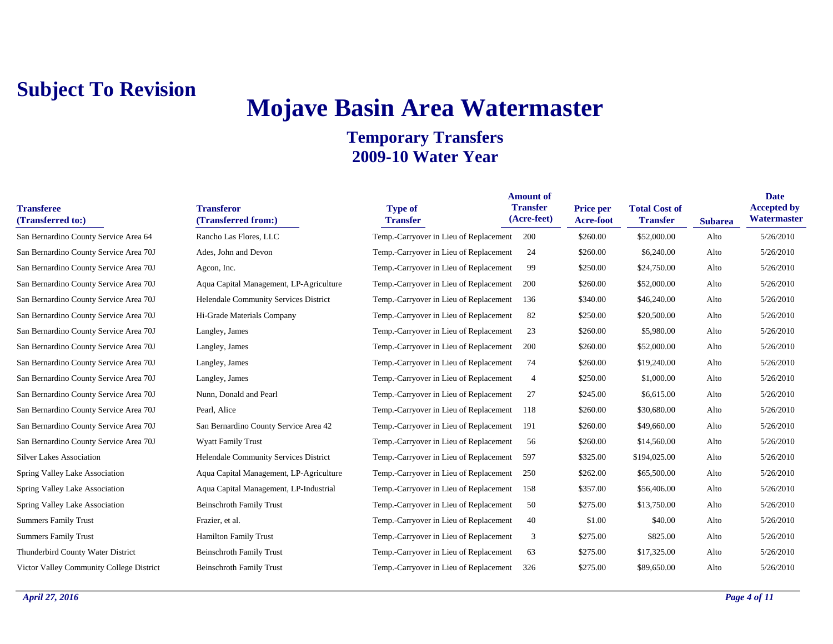# **Mojave Basin Area Watermaster**

| <b>Transferee</b><br>(Transferred to:)   | <b>Transferor</b><br>(Transferred from:) | <b>Type of</b><br><b>Transfer</b>          | <b>Amount of</b><br><b>Transfer</b><br>(Acre-feet) | Price per<br>Acre-foot | <b>Total Cost of</b><br><b>Transfer</b> | <b>Subarea</b> | <b>Date</b><br><b>Accepted by</b><br>Watermaster |
|------------------------------------------|------------------------------------------|--------------------------------------------|----------------------------------------------------|------------------------|-----------------------------------------|----------------|--------------------------------------------------|
| San Bernardino County Service Area 64    | Rancho Las Flores, LLC                   | Temp.-Carryover in Lieu of Replacement 200 |                                                    | \$260.00               | \$52,000.00                             | Alto           | 5/26/2010                                        |
| San Bernardino County Service Area 70J   | Ades, John and Devon                     | Temp.-Carryover in Lieu of Replacement     | 24                                                 | \$260.00               | \$6,240.00                              | Alto           | 5/26/2010                                        |
| San Bernardino County Service Area 70J   | Agcon, Inc.                              | Temp.-Carryover in Lieu of Replacement     | 99                                                 | \$250.00               | \$24,750.00                             | Alto           | 5/26/2010                                        |
| San Bernardino County Service Area 70J   | Aqua Capital Management, LP-Agriculture  | Temp.-Carryover in Lieu of Replacement     | 200                                                | \$260.00               | \$52,000.00                             | Alto           | 5/26/2010                                        |
| San Bernardino County Service Area 70J   | Helendale Community Services District    | Temp.-Carryover in Lieu of Replacement     | 136                                                | \$340.00               | \$46,240.00                             | Alto           | 5/26/2010                                        |
| San Bernardino County Service Area 70J   | Hi-Grade Materials Company               | Temp.-Carryover in Lieu of Replacement     | 82                                                 | \$250.00               | \$20,500.00                             | Alto           | 5/26/2010                                        |
| San Bernardino County Service Area 70J   | Langley, James                           | Temp.-Carryover in Lieu of Replacement     | 23                                                 | \$260.00               | \$5,980.00                              | Alto           | 5/26/2010                                        |
| San Bernardino County Service Area 70J   | Langley, James                           | Temp.-Carryover in Lieu of Replacement     | 200                                                | \$260.00               | \$52,000.00                             | Alto           | 5/26/2010                                        |
| San Bernardino County Service Area 70J   | Langley, James                           | Temp.-Carryover in Lieu of Replacement     | 74                                                 | \$260.00               | \$19,240.00                             | Alto           | 5/26/2010                                        |
| San Bernardino County Service Area 70J   | Langley, James                           | Temp.-Carryover in Lieu of Replacement     | $\overline{4}$                                     | \$250.00               | \$1,000.00                              | Alto           | 5/26/2010                                        |
| San Bernardino County Service Area 70J   | Nunn, Donald and Pearl                   | Temp.-Carryover in Lieu of Replacement     | 27                                                 | \$245.00               | \$6,615.00                              | Alto           | 5/26/2010                                        |
| San Bernardino County Service Area 70J   | Pearl, Alice                             | Temp.-Carryover in Lieu of Replacement     | 118                                                | \$260.00               | \$30,680.00                             | Alto           | 5/26/2010                                        |
| San Bernardino County Service Area 70J   | San Bernardino County Service Area 42    | Temp.-Carryover in Lieu of Replacement     | 191                                                | \$260.00               | \$49,660.00                             | Alto           | 5/26/2010                                        |
| San Bernardino County Service Area 70J   | <b>Wyatt Family Trust</b>                | Temp.-Carryover in Lieu of Replacement     | 56                                                 | \$260.00               | \$14,560.00                             | Alto           | 5/26/2010                                        |
| <b>Silver Lakes Association</b>          | Helendale Community Services District    | Temp.-Carryover in Lieu of Replacement     | 597                                                | \$325.00               | \$194,025.00                            | Alto           | 5/26/2010                                        |
| Spring Valley Lake Association           | Aqua Capital Management, LP-Agriculture  | Temp.-Carryover in Lieu of Replacement     | 250                                                | \$262.00               | \$65,500.00                             | Alto           | 5/26/2010                                        |
| Spring Valley Lake Association           | Aqua Capital Management, LP-Industrial   | Temp.-Carryover in Lieu of Replacement     | 158                                                | \$357.00               | \$56,406.00                             | Alto           | 5/26/2010                                        |
| Spring Valley Lake Association           | <b>Beinschroth Family Trust</b>          | Temp.-Carryover in Lieu of Replacement     | 50                                                 | \$275.00               | \$13,750.00                             | Alto           | 5/26/2010                                        |
| <b>Summers Family Trust</b>              | Frazier, et al.                          | Temp.-Carryover in Lieu of Replacement     | 40                                                 | \$1.00                 | \$40.00                                 | Alto           | 5/26/2010                                        |
| <b>Summers Family Trust</b>              | <b>Hamilton Family Trust</b>             | Temp.-Carryover in Lieu of Replacement     | 3                                                  | \$275.00               | \$825.00                                | Alto           | 5/26/2010                                        |
| Thunderbird County Water District        | <b>Beinschroth Family Trust</b>          | Temp.-Carryover in Lieu of Replacement     | 63                                                 | \$275.00               | \$17,325.00                             | Alto           | 5/26/2010                                        |
| Victor Valley Community College District | <b>Beinschroth Family Trust</b>          | Temp.-Carryover in Lieu of Replacement     | 326                                                | \$275.00               | \$89,650.00                             | Alto           | 5/26/2010                                        |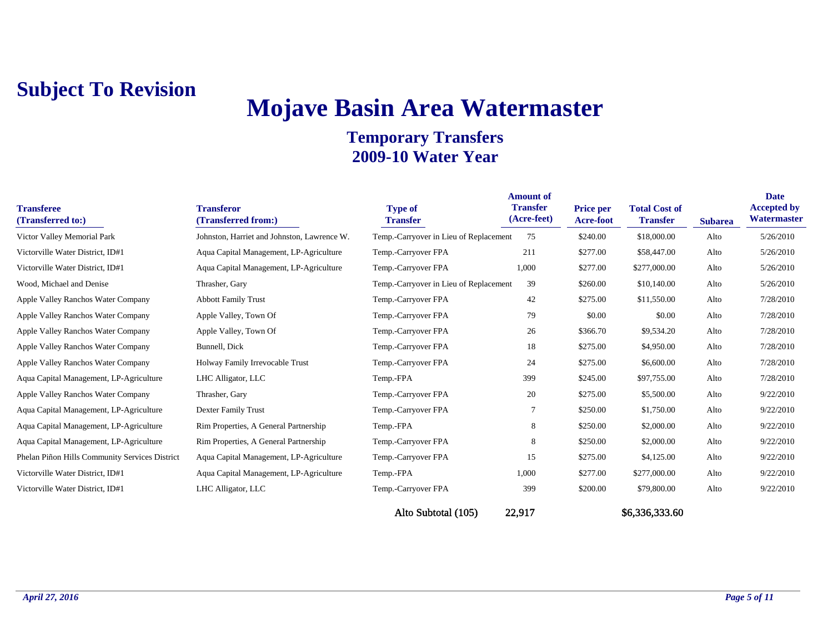# **Mojave Basin Area Watermaster**

| <b>Transferee</b><br>(Transferred to:)         | <b>Transferor</b><br>(Transferred from:)    | <b>Type of</b><br><b>Transfer</b>      | <b>Amount of</b><br><b>Transfer</b><br>(Acre-feet) | Price per<br><b>Acre-foot</b> | <b>Total Cost of</b><br><b>Transfer</b> | <b>Subarea</b> | <b>Date</b><br><b>Accepted by</b><br><b>Watermaster</b> |
|------------------------------------------------|---------------------------------------------|----------------------------------------|----------------------------------------------------|-------------------------------|-----------------------------------------|----------------|---------------------------------------------------------|
| Victor Valley Memorial Park                    | Johnston, Harriet and Johnston, Lawrence W. | Temp.-Carryover in Lieu of Replacement | 75                                                 | \$240.00                      | \$18,000.00                             | Alto           | 5/26/2010                                               |
| Victorville Water District, ID#1               | Aqua Capital Management, LP-Agriculture     | Temp.-Carryover FPA                    | 211                                                | \$277.00                      | \$58,447.00                             | Alto           | 5/26/2010                                               |
| Victorville Water District, ID#1               | Aqua Capital Management, LP-Agriculture     | Temp.-Carryover FPA                    | 1,000                                              | \$277.00                      | \$277,000.00                            | Alto           | 5/26/2010                                               |
| Wood, Michael and Denise                       | Thrasher, Gary                              | Temp.-Carryover in Lieu of Replacement | 39                                                 | \$260.00                      | \$10,140.00                             | Alto           | 5/26/2010                                               |
| Apple Valley Ranchos Water Company             | <b>Abbott Family Trust</b>                  | Temp.-Carryover FPA                    | 42                                                 | \$275.00                      | \$11,550.00                             | Alto           | 7/28/2010                                               |
| Apple Valley Ranchos Water Company             | Apple Valley, Town Of                       | Temp.-Carryover FPA                    | 79                                                 | \$0.00                        | \$0.00                                  | Alto           | 7/28/2010                                               |
| Apple Valley Ranchos Water Company             | Apple Valley, Town Of                       | Temp.-Carryover FPA                    | 26                                                 | \$366.70                      | \$9,534.20                              | Alto           | 7/28/2010                                               |
| Apple Valley Ranchos Water Company             | Bunnell, Dick                               | Temp.-Carryover FPA                    | 18                                                 | \$275.00                      | \$4,950.00                              | Alto           | 7/28/2010                                               |
| Apple Valley Ranchos Water Company             | Holway Family Irrevocable Trust             | Temp.-Carryover FPA                    | 24                                                 | \$275.00                      | \$6,600.00                              | Alto           | 7/28/2010                                               |
| Aqua Capital Management, LP-Agriculture        | LHC Alligator, LLC                          | Temp.-FPA                              | 399                                                | \$245.00                      | \$97,755.00                             | Alto           | 7/28/2010                                               |
| Apple Valley Ranchos Water Company             | Thrasher, Gary                              | Temp.-Carryover FPA                    | 20                                                 | \$275.00                      | \$5,500.00                              | Alto           | 9/22/2010                                               |
| Aqua Capital Management, LP-Agriculture        | Dexter Family Trust                         | Temp.-Carryover FPA                    | 7                                                  | \$250.00                      | \$1,750.00                              | Alto           | 9/22/2010                                               |
| Aqua Capital Management, LP-Agriculture        | Rim Properties, A General Partnership       | Temp.-FPA                              | 8                                                  | \$250.00                      | \$2,000.00                              | Alto           | 9/22/2010                                               |
| Aqua Capital Management, LP-Agriculture        | Rim Properties, A General Partnership       | Temp.-Carryover FPA                    | 8                                                  | \$250.00                      | \$2,000.00                              | Alto           | 9/22/2010                                               |
| Phelan Piñon Hills Community Services District | Aqua Capital Management, LP-Agriculture     | Temp.-Carryover FPA                    | 15                                                 | \$275.00                      | \$4,125.00                              | Alto           | 9/22/2010                                               |
| Victorville Water District, ID#1               | Aqua Capital Management, LP-Agriculture     | Temp.-FPA                              | 1,000                                              | \$277.00                      | \$277,000.00                            | Alto           | 9/22/2010                                               |
| Victorville Water District, ID#1               | LHC Alligator, LLC                          | Temp.-Carryover FPA                    | 399                                                | \$200.00                      | \$79,800.00                             | Alto           | 9/22/2010                                               |
|                                                |                                             | Alto Subtotal (105)                    | 22,917                                             |                               | \$6,336,333.60                          |                |                                                         |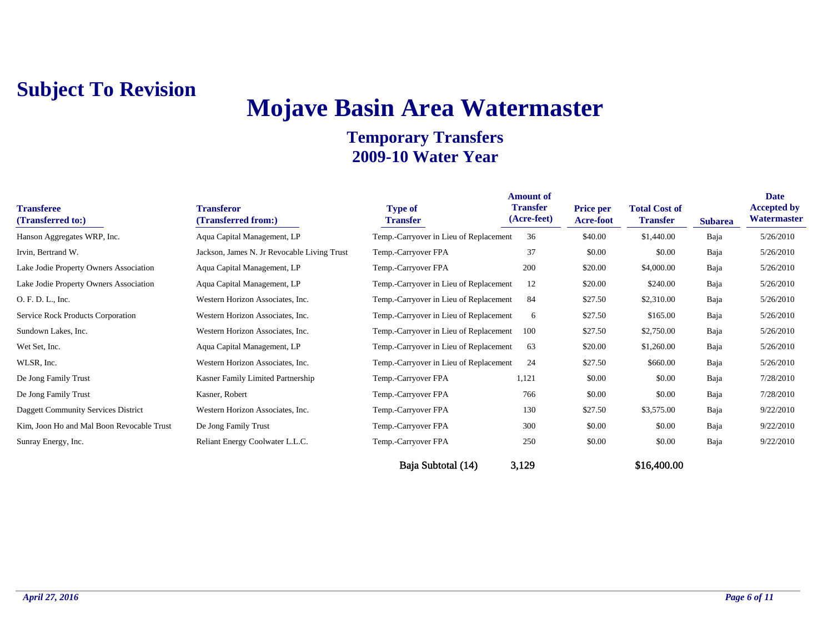# **Mojave Basin Area Watermaster**

| <b>Transferee</b><br>(Transferred to:)    | <b>Transferor</b><br>(Transferred from:)    | <b>Type of</b><br><b>Transfer</b>      | <b>Amount of</b><br><b>Transfer</b><br>(Acre-feet) | <b>Price per</b><br><b>Acre-foot</b> | <b>Total Cost of</b><br><b>Transfer</b> | <b>Subarea</b> | <b>Date</b><br><b>Accepted by</b><br>Watermaster |
|-------------------------------------------|---------------------------------------------|----------------------------------------|----------------------------------------------------|--------------------------------------|-----------------------------------------|----------------|--------------------------------------------------|
| Hanson Aggregates WRP, Inc.               | Aqua Capital Management, LP                 | Temp.-Carryover in Lieu of Replacement | 36                                                 | \$40.00                              | \$1,440.00                              | Baja           | 5/26/2010                                        |
| Irvin, Bertrand W.                        | Jackson, James N. Jr Revocable Living Trust | Temp.-Carryover FPA                    | 37                                                 | \$0.00                               | \$0.00                                  | Baja           | 5/26/2010                                        |
| Lake Jodie Property Owners Association    | Aqua Capital Management, LP                 | Temp.-Carryover FPA                    | 200                                                | \$20.00                              | \$4,000.00                              | Baja           | 5/26/2010                                        |
| Lake Jodie Property Owners Association    | Aqua Capital Management, LP                 | Temp.-Carryover in Lieu of Replacement | 12                                                 | \$20.00                              | \$240.00                                | Baja           | 5/26/2010                                        |
| O. F. D. L., Inc.                         | Western Horizon Associates, Inc.            | Temp.-Carryover in Lieu of Replacement | 84                                                 | \$27.50                              | \$2,310.00                              | Baja           | 5/26/2010                                        |
| Service Rock Products Corporation         | Western Horizon Associates, Inc.            | Temp.-Carryover in Lieu of Replacement | 6                                                  | \$27.50                              | \$165.00                                | Baja           | 5/26/2010                                        |
| Sundown Lakes, Inc.                       | Western Horizon Associates, Inc.            | Temp.-Carryover in Lieu of Replacement | 100                                                | \$27.50                              | \$2,750.00                              | Baja           | 5/26/2010                                        |
| Wet Set, Inc.                             | Aqua Capital Management, LP                 | Temp.-Carryover in Lieu of Replacement | 63                                                 | \$20.00                              | \$1,260.00                              | Baja           | 5/26/2010                                        |
| WLSR, Inc.                                | Western Horizon Associates, Inc.            | Temp.-Carryover in Lieu of Replacement | 24                                                 | \$27.50                              | \$660.00                                | Baja           | 5/26/2010                                        |
| De Jong Family Trust                      | Kasner Family Limited Partnership           | Temp.-Carryover FPA                    | 1,121                                              | \$0.00                               | \$0.00                                  | Baja           | 7/28/2010                                        |
| De Jong Family Trust                      | Kasner, Robert                              | Temp.-Carryover FPA                    | 766                                                | \$0.00                               | \$0.00                                  | Baja           | 7/28/2010                                        |
| Daggett Community Services District       | Western Horizon Associates, Inc.            | Temp.-Carryover FPA                    | 130                                                | \$27.50                              | \$3,575.00                              | Baja           | 9/22/2010                                        |
| Kim, Joon Ho and Mal Boon Revocable Trust | De Jong Family Trust                        | Temp.-Carryover FPA                    | 300                                                | \$0.00                               | \$0.00                                  | Baja           | 9/22/2010                                        |
| Sunray Energy, Inc.                       | Reliant Energy Coolwater L.L.C.             | Temp.-Carryover FPA                    | 250                                                | \$0.00                               | \$0.00                                  | Baja           | 9/22/2010                                        |
|                                           |                                             | Baja Subtotal (14)                     | 3,129                                              |                                      | \$16,400.00                             |                |                                                  |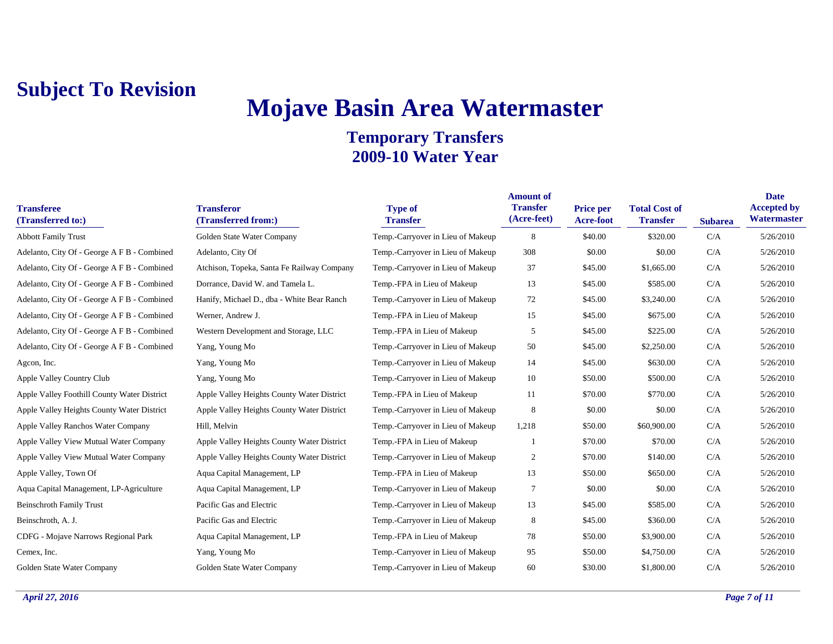# **Mojave Basin Area Watermaster**

| <b>Transferee</b><br>(Transferred to:)      | <b>Transferor</b><br>(Transferred from:)   | <b>Type of</b><br><b>Transfer</b> | <b>Amount of</b><br><b>Transfer</b><br>(Acre-feet) | <b>Price per</b><br><b>Acre-foot</b> | <b>Total Cost of</b><br><b>Transfer</b> | <b>Subarea</b> | <b>Date</b><br><b>Accepted by</b><br>Watermaster |
|---------------------------------------------|--------------------------------------------|-----------------------------------|----------------------------------------------------|--------------------------------------|-----------------------------------------|----------------|--------------------------------------------------|
| <b>Abbott Family Trust</b>                  | Golden State Water Company                 | Temp.-Carryover in Lieu of Makeup | 8                                                  | \$40.00                              | \$320.00                                | C/A            | 5/26/2010                                        |
| Adelanto, City Of - George A F B - Combined | Adelanto, City Of                          | Temp.-Carryover in Lieu of Makeup | 308                                                | \$0.00                               | \$0.00                                  | C/A            | 5/26/2010                                        |
| Adelanto, City Of - George A F B - Combined | Atchison, Topeka, Santa Fe Railway Company | Temp.-Carryover in Lieu of Makeup | 37                                                 | \$45.00                              | \$1,665.00                              | C/A            | 5/26/2010                                        |
| Adelanto, City Of - George A F B - Combined | Dorrance, David W. and Tamela L.           | Temp.-FPA in Lieu of Makeup       | 13                                                 | \$45.00                              | \$585.00                                | C/A            | 5/26/2010                                        |
| Adelanto, City Of - George A F B - Combined | Hanify, Michael D., dba - White Bear Ranch | Temp.-Carryover in Lieu of Makeup | 72                                                 | \$45.00                              | \$3,240.00                              | C/A            | 5/26/2010                                        |
| Adelanto, City Of - George A F B - Combined | Werner, Andrew J.                          | Temp.-FPA in Lieu of Makeup       | 15                                                 | \$45.00                              | \$675.00                                | C/A            | 5/26/2010                                        |
| Adelanto, City Of - George A F B - Combined | Western Development and Storage, LLC       | Temp.-FPA in Lieu of Makeup       | 5                                                  | \$45.00                              | \$225.00                                | C/A            | 5/26/2010                                        |
| Adelanto, City Of - George A F B - Combined | Yang, Young Mo                             | Temp.-Carryover in Lieu of Makeup | 50                                                 | \$45.00                              | \$2,250.00                              | C/A            | 5/26/2010                                        |
| Agcon, Inc.                                 | Yang, Young Mo                             | Temp.-Carryover in Lieu of Makeup | 14                                                 | \$45.00                              | \$630.00                                | C/A            | 5/26/2010                                        |
| Apple Valley Country Club                   | Yang, Young Mo                             | Temp.-Carryover in Lieu of Makeup | 10                                                 | \$50.00                              | \$500.00                                | C/A            | 5/26/2010                                        |
| Apple Valley Foothill County Water District | Apple Valley Heights County Water District | Temp.-FPA in Lieu of Makeup       | 11                                                 | \$70.00                              | \$770.00                                | C/A            | 5/26/2010                                        |
| Apple Valley Heights County Water District  | Apple Valley Heights County Water District | Temp.-Carryover in Lieu of Makeup | 8                                                  | \$0.00                               | \$0.00                                  | C/A            | 5/26/2010                                        |
| Apple Valley Ranchos Water Company          | Hill, Melvin                               | Temp.-Carryover in Lieu of Makeup | 1,218                                              | \$50.00                              | \$60,900.00                             | C/A            | 5/26/2010                                        |
| Apple Valley View Mutual Water Company      | Apple Valley Heights County Water District | Temp.-FPA in Lieu of Makeup       |                                                    | \$70.00                              | \$70.00                                 | C/A            | 5/26/2010                                        |
| Apple Valley View Mutual Water Company      | Apple Valley Heights County Water District | Temp.-Carryover in Lieu of Makeup | 2                                                  | \$70.00                              | \$140.00                                | C/A            | 5/26/2010                                        |
| Apple Valley, Town Of                       | Aqua Capital Management, LP                | Temp.-FPA in Lieu of Makeup       | 13                                                 | \$50.00                              | \$650.00                                | C/A            | 5/26/2010                                        |
| Aqua Capital Management, LP-Agriculture     | Aqua Capital Management, LP                | Temp.-Carryover in Lieu of Makeup | 7                                                  | \$0.00                               | \$0.00                                  | C/A            | 5/26/2010                                        |
| <b>Beinschroth Family Trust</b>             | Pacific Gas and Electric                   | Temp.-Carryover in Lieu of Makeup | 13                                                 | \$45.00                              | \$585.00                                | C/A            | 5/26/2010                                        |
| Beinschroth, A. J.                          | Pacific Gas and Electric                   | Temp.-Carryover in Lieu of Makeup | 8                                                  | \$45.00                              | \$360.00                                | C/A            | 5/26/2010                                        |
| CDFG - Mojave Narrows Regional Park         | Aqua Capital Management, LP                | Temp.-FPA in Lieu of Makeup       | 78                                                 | \$50.00                              | \$3,900.00                              | C/A            | 5/26/2010                                        |
| Cemex, Inc.                                 | Yang, Young Mo                             | Temp.-Carryover in Lieu of Makeup | 95                                                 | \$50.00                              | \$4,750.00                              | C/A            | 5/26/2010                                        |
| Golden State Water Company                  | Golden State Water Company                 | Temp.-Carryover in Lieu of Makeup | 60                                                 | \$30.00                              | \$1,800.00                              | C/A            | 5/26/2010                                        |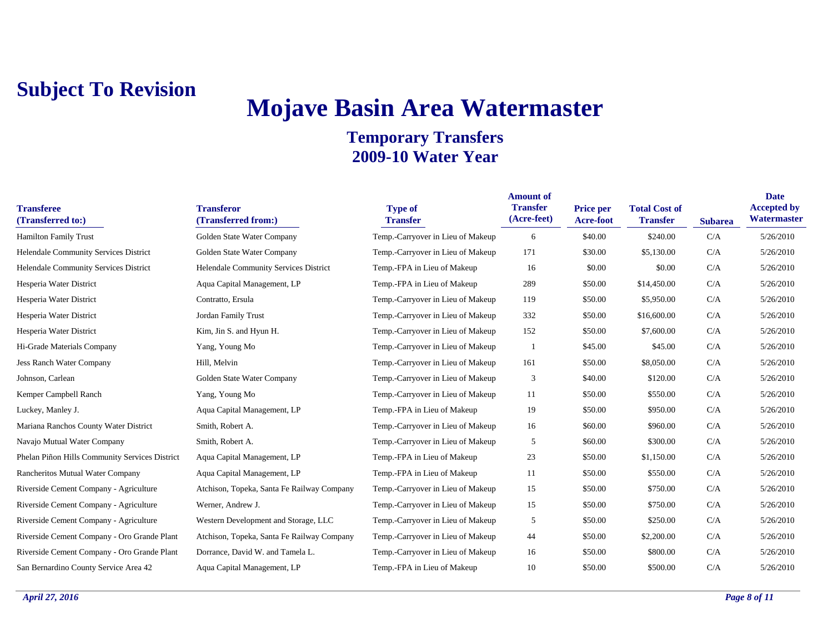# **Mojave Basin Area Watermaster**

| <b>Transferee</b><br>(Transferred to:)         | <b>Transferor</b><br>(Transferred from:)   | <b>Type of</b><br><b>Transfer</b> | <b>Amount of</b><br><b>Transfer</b><br>(Acre-feet) | <b>Price per</b><br>Acre-foot | <b>Total Cost of</b><br><b>Transfer</b> | <b>Subarea</b> | <b>Date</b><br><b>Accepted by</b><br>Watermaster |
|------------------------------------------------|--------------------------------------------|-----------------------------------|----------------------------------------------------|-------------------------------|-----------------------------------------|----------------|--------------------------------------------------|
| <b>Hamilton Family Trust</b>                   | Golden State Water Company                 | Temp.-Carryover in Lieu of Makeup | 6                                                  | \$40.00                       | \$240.00                                | C/A            | 5/26/2010                                        |
| Helendale Community Services District          | Golden State Water Company                 | Temp.-Carryover in Lieu of Makeup | 171                                                | \$30.00                       | \$5,130.00                              | C/A            | 5/26/2010                                        |
| Helendale Community Services District          | Helendale Community Services District      | Temp.-FPA in Lieu of Makeup       | 16                                                 | \$0.00                        | \$0.00                                  | C/A            | 5/26/2010                                        |
| Hesperia Water District                        | Aqua Capital Management, LP                | Temp.-FPA in Lieu of Makeup       | 289                                                | \$50.00                       | \$14,450.00                             | C/A            | 5/26/2010                                        |
| Hesperia Water District                        | Contratto, Ersula                          | Temp.-Carryover in Lieu of Makeup | 119                                                | \$50.00                       | \$5,950.00                              | C/A            | 5/26/2010                                        |
| Hesperia Water District                        | Jordan Family Trust                        | Temp.-Carryover in Lieu of Makeup | 332                                                | \$50.00                       | \$16,600.00                             | C/A            | 5/26/2010                                        |
| Hesperia Water District                        | Kim, Jin S. and Hyun H.                    | Temp.-Carryover in Lieu of Makeup | 152                                                | \$50.00                       | \$7,600.00                              | C/A            | 5/26/2010                                        |
| Hi-Grade Materials Company                     | Yang, Young Mo                             | Temp.-Carryover in Lieu of Makeup |                                                    | \$45.00                       | \$45.00                                 | C/A            | 5/26/2010                                        |
| <b>Jess Ranch Water Company</b>                | Hill, Melvin                               | Temp.-Carryover in Lieu of Makeup | 161                                                | \$50.00                       | \$8,050.00                              | C/A            | 5/26/2010                                        |
| Johnson, Carlean                               | Golden State Water Company                 | Temp.-Carryover in Lieu of Makeup | 3                                                  | \$40.00                       | \$120.00                                | C/A            | 5/26/2010                                        |
| Kemper Campbell Ranch                          | Yang, Young Mo                             | Temp.-Carryover in Lieu of Makeup | 11                                                 | \$50.00                       | \$550.00                                | C/A            | 5/26/2010                                        |
| Luckey, Manley J.                              | Aqua Capital Management, LP                | Temp.-FPA in Lieu of Makeup       | 19                                                 | \$50.00                       | \$950.00                                | C/A            | 5/26/2010                                        |
| Mariana Ranchos County Water District          | Smith, Robert A.                           | Temp.-Carryover in Lieu of Makeup | 16                                                 | \$60.00                       | \$960.00                                | C/A            | 5/26/2010                                        |
| Navajo Mutual Water Company                    | Smith, Robert A.                           | Temp.-Carryover in Lieu of Makeup | 5                                                  | \$60.00                       | \$300.00                                | C/A            | 5/26/2010                                        |
| Phelan Piñon Hills Community Services District | Aqua Capital Management, LP                | Temp.-FPA in Lieu of Makeup       | 23                                                 | \$50.00                       | \$1,150.00                              | C/A            | 5/26/2010                                        |
| Rancheritos Mutual Water Company               | Aqua Capital Management, LP                | Temp.-FPA in Lieu of Makeup       | 11                                                 | \$50.00                       | \$550.00                                | C/A            | 5/26/2010                                        |
| Riverside Cement Company - Agriculture         | Atchison, Topeka, Santa Fe Railway Company | Temp.-Carryover in Lieu of Makeup | 15                                                 | \$50.00                       | \$750.00                                | C/A            | 5/26/2010                                        |
| Riverside Cement Company - Agriculture         | Werner, Andrew J.                          | Temp.-Carryover in Lieu of Makeup | 15                                                 | \$50.00                       | \$750.00                                | C/A            | 5/26/2010                                        |
| Riverside Cement Company - Agriculture         | Western Development and Storage, LLC       | Temp.-Carryover in Lieu of Makeup | 5                                                  | \$50.00                       | \$250.00                                | C/A            | 5/26/2010                                        |
| Riverside Cement Company - Oro Grande Plant    | Atchison, Topeka, Santa Fe Railway Company | Temp.-Carryover in Lieu of Makeup | 44                                                 | \$50.00                       | \$2,200.00                              | C/A            | 5/26/2010                                        |
| Riverside Cement Company - Oro Grande Plant    | Dorrance, David W. and Tamela L.           | Temp.-Carryover in Lieu of Makeup | 16                                                 | \$50.00                       | \$800.00                                | C/A            | 5/26/2010                                        |
| San Bernardino County Service Area 42          | Aqua Capital Management, LP                | Temp.-FPA in Lieu of Makeup       | 10                                                 | \$50.00                       | \$500.00                                | C/A            | 5/26/2010                                        |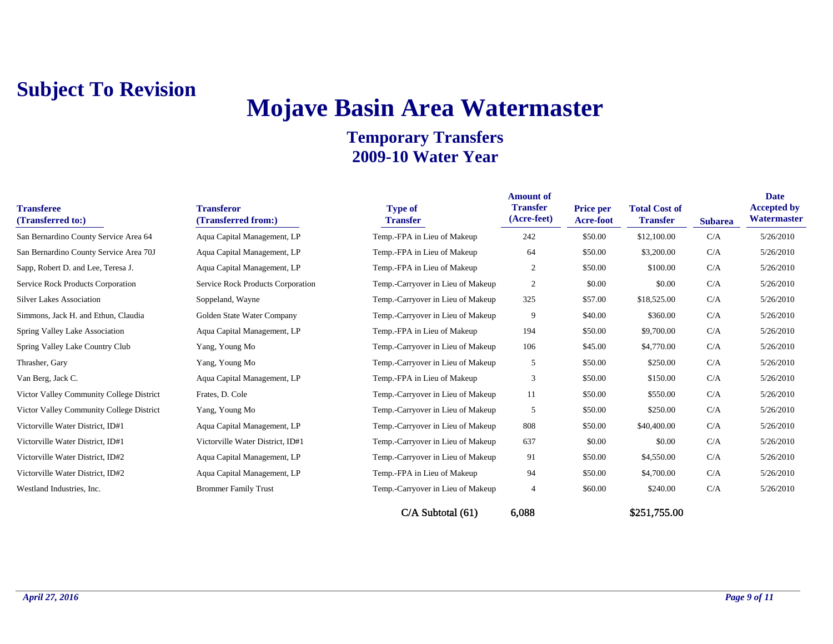# **Mojave Basin Area Watermaster**

| <b>Transferee</b><br>(Transferred to:)   | <b>Transferor</b><br>(Transferred from:) | <b>Type of</b><br><b>Transfer</b> | <b>Amount of</b><br><b>Transfer</b><br>(Acre-feet) | Price per<br>Acre-foot | <b>Total Cost of</b><br><b>Transfer</b> | <b>Subarea</b> | <b>Date</b><br><b>Accepted by</b><br>Watermaster |
|------------------------------------------|------------------------------------------|-----------------------------------|----------------------------------------------------|------------------------|-----------------------------------------|----------------|--------------------------------------------------|
| San Bernardino County Service Area 64    | Aqua Capital Management, LP              | Temp.-FPA in Lieu of Makeup       | 242                                                | \$50.00                | \$12,100.00                             | C/A            | 5/26/2010                                        |
| San Bernardino County Service Area 70J   | Aqua Capital Management, LP              | Temp.-FPA in Lieu of Makeup       | 64                                                 | \$50.00                | \$3,200.00                              | C/A            | 5/26/2010                                        |
| Sapp, Robert D. and Lee, Teresa J.       | Aqua Capital Management, LP              | Temp.-FPA in Lieu of Makeup       | 2                                                  | \$50.00                | \$100.00                                | C/A            | 5/26/2010                                        |
| Service Rock Products Corporation        | Service Rock Products Corporation        | Temp.-Carryover in Lieu of Makeup | 2                                                  | \$0.00                 | \$0.00                                  | C/A            | 5/26/2010                                        |
| <b>Silver Lakes Association</b>          | Soppeland, Wayne                         | Temp.-Carryover in Lieu of Makeup | 325                                                | \$57.00                | \$18,525.00                             | C/A            | 5/26/2010                                        |
| Simmons, Jack H. and Ethun, Claudia      | Golden State Water Company               | Temp.-Carryover in Lieu of Makeup | 9                                                  | \$40.00                | \$360.00                                | C/A            | 5/26/2010                                        |
| Spring Valley Lake Association           | Aqua Capital Management, LP              | Temp.-FPA in Lieu of Makeup       | 194                                                | \$50.00                | \$9,700.00                              | C/A            | 5/26/2010                                        |
| Spring Valley Lake Country Club          | Yang, Young Mo                           | Temp.-Carryover in Lieu of Makeup | 106                                                | \$45.00                | \$4,770.00                              | C/A            | 5/26/2010                                        |
| Thrasher, Gary                           | Yang, Young Mo                           | Temp.-Carryover in Lieu of Makeup | 5                                                  | \$50.00                | \$250.00                                | C/A            | 5/26/2010                                        |
| Van Berg, Jack C.                        | Aqua Capital Management, LP              | Temp.-FPA in Lieu of Makeup       | 3                                                  | \$50.00                | \$150.00                                | C/A            | 5/26/2010                                        |
| Victor Valley Community College District | Frates, D. Cole                          | Temp.-Carryover in Lieu of Makeup | 11                                                 | \$50.00                | \$550.00                                | C/A            | 5/26/2010                                        |
| Victor Valley Community College District | Yang, Young Mo                           | Temp.-Carryover in Lieu of Makeup | 5                                                  | \$50.00                | \$250.00                                | C/A            | 5/26/2010                                        |
| Victorville Water District, ID#1         | Aqua Capital Management, LP              | Temp.-Carryover in Lieu of Makeup | 808                                                | \$50.00                | \$40,400.00                             | C/A            | 5/26/2010                                        |
| Victorville Water District, ID#1         | Victorville Water District, ID#1         | Temp.-Carryover in Lieu of Makeup | 637                                                | \$0.00                 | \$0.00                                  | C/A            | 5/26/2010                                        |
| Victorville Water District, ID#2         | Aqua Capital Management, LP              | Temp.-Carryover in Lieu of Makeup | 91                                                 | \$50.00                | \$4,550.00                              | C/A            | 5/26/2010                                        |
| Victorville Water District, ID#2         | Aqua Capital Management, LP              | Temp.-FPA in Lieu of Makeup       | 94                                                 | \$50.00                | \$4,700.00                              | C/A            | 5/26/2010                                        |
| Westland Industries, Inc.                | <b>Brommer Family Trust</b>              | Temp.-Carryover in Lieu of Makeup | 4                                                  | \$60.00                | \$240.00                                | C/A            | 5/26/2010                                        |
|                                          |                                          | C/A Subtotal (61)                 | 6,088                                              |                        | \$251,755.00                            |                |                                                  |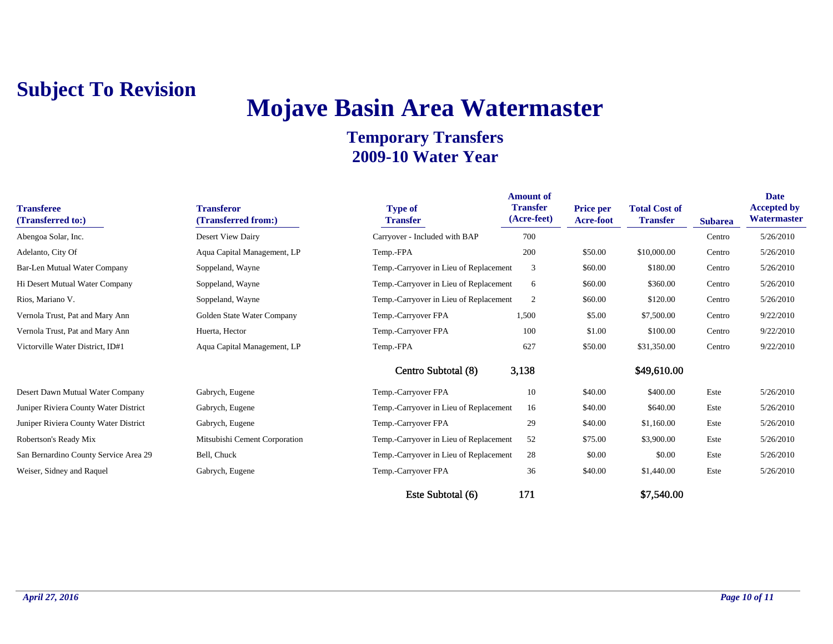# **Mojave Basin Area Watermaster**

| <b>Transferee</b><br>(Transferred to:) | <b>Transferor</b><br>(Transferred from:) | <b>Type of</b><br><b>Transfer</b>      | <b>Amount of</b><br><b>Transfer</b><br>(Acre-feet) | <b>Price per</b><br>Acre-foot | <b>Total Cost of</b><br><b>Transfer</b> | <b>Subarea</b> | <b>Date</b><br><b>Accepted by</b><br>Watermaster |
|----------------------------------------|------------------------------------------|----------------------------------------|----------------------------------------------------|-------------------------------|-----------------------------------------|----------------|--------------------------------------------------|
| Abengoa Solar, Inc.                    | Desert View Dairy                        | Carryover - Included with BAP          | 700                                                |                               |                                         | Centro         | 5/26/2010                                        |
| Adelanto, City Of                      | Aqua Capital Management, LP              | Temp.-FPA                              | 200                                                | \$50.00                       | \$10,000.00                             | Centro         | 5/26/2010                                        |
| Bar-Len Mutual Water Company           | Soppeland, Wayne                         | Temp.-Carryover in Lieu of Replacement | 3                                                  | \$60.00                       | \$180.00                                | Centro         | 5/26/2010                                        |
| Hi Desert Mutual Water Company         | Soppeland, Wayne                         | Temp.-Carryover in Lieu of Replacement | 6                                                  | \$60.00                       | \$360.00                                | Centro         | 5/26/2010                                        |
| Rios, Mariano V.                       | Soppeland, Wayne                         | Temp.-Carryover in Lieu of Replacement | $\overline{2}$                                     | \$60.00                       | \$120.00                                | Centro         | 5/26/2010                                        |
| Vernola Trust, Pat and Mary Ann        | Golden State Water Company               | Temp.-Carryover FPA                    | 1,500                                              | \$5.00                        | \$7,500.00                              | Centro         | 9/22/2010                                        |
| Vernola Trust, Pat and Mary Ann        | Huerta, Hector                           | Temp.-Carryover FPA                    | 100                                                | \$1.00                        | \$100.00                                | Centro         | 9/22/2010                                        |
| Victorville Water District, ID#1       | Aqua Capital Management, LP              | Temp.-FPA                              | 627                                                | \$50.00                       | \$31,350.00                             | Centro         | 9/22/2010                                        |
|                                        |                                          | Centro Subtotal (8)                    | 3,138                                              |                               | \$49,610.00                             |                |                                                  |
| Desert Dawn Mutual Water Company       | Gabrych, Eugene                          | Temp.-Carryover FPA                    | 10                                                 | \$40.00                       | \$400.00                                | Este           | 5/26/2010                                        |
| Juniper Riviera County Water District  | Gabrych, Eugene                          | Temp.-Carryover in Lieu of Replacement | 16                                                 | \$40.00                       | \$640.00                                | Este           | 5/26/2010                                        |
| Juniper Riviera County Water District  | Gabrych, Eugene                          | Temp.-Carryover FPA                    | 29                                                 | \$40.00                       | \$1,160.00                              | Este           | 5/26/2010                                        |
| Robertson's Ready Mix                  | Mitsubishi Cement Corporation            | Temp.-Carryover in Lieu of Replacement | 52                                                 | \$75.00                       | \$3,900.00                              | Este           | 5/26/2010                                        |
| San Bernardino County Service Area 29  | Bell, Chuck                              | Temp.-Carryover in Lieu of Replacement | 28                                                 | \$0.00                        | \$0.00                                  | Este           | 5/26/2010                                        |
| Weiser, Sidney and Raquel              | Gabrych, Eugene                          | Temp.-Carryover FPA                    | 36                                                 | \$40.00                       | \$1,440.00                              | Este           | 5/26/2010                                        |
|                                        |                                          | Este Subtotal (6)                      | 171                                                |                               | \$7,540.00                              |                |                                                  |